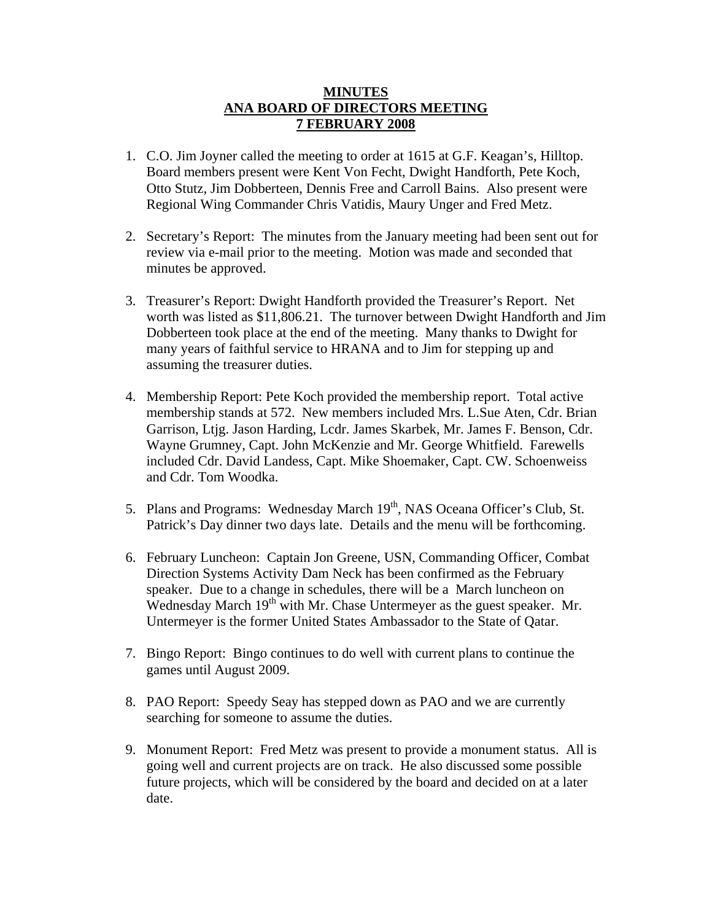## **MINUTES ANA BOARD OF DIRECTORS MEETING 7 FEBRUARY 2008**

- 1. C.O. Jim Joyner called the meeting to order at 1615 at G.F. Keagan's, Hilltop. Board members present were Kent Von Fecht, Dwight Handforth, Pete Koch, Otto Stutz, Jim Dobberteen, Dennis Free and Carroll Bains. Also present were Regional Wing Commander Chris Vatidis, Maury Unger and Fred Metz.
- 2. Secretary's Report: The minutes from the January meeting had been sent out for review via e-mail prior to the meeting. Motion was made and seconded that minutes be approved.
- 3. Treasurer's Report: Dwight Handforth provided the Treasurer's Report. Net worth was listed as \$11,806.21. The turnover between Dwight Handforth and Jim Dobberteen took place at the end of the meeting. Many thanks to Dwight for many years of faithful service to HRANA and to Jim for stepping up and assuming the treasurer duties.
- 4. Membership Report: Pete Koch provided the membership report. Total active membership stands at 572. New members included Mrs. L.Sue Aten, Cdr. Brian Garrison, Ltjg. Jason Harding, Lcdr. James Skarbek, Mr. James F. Benson, Cdr. Wayne Grumney, Capt. John McKenzie and Mr. George Whitfield. Farewells included Cdr. David Landess, Capt. Mike Shoemaker, Capt. CW. Schoenweiss and Cdr. Tom Woodka.
- 5. Plans and Programs: Wednesday March 19<sup>th</sup>, NAS Oceana Officer's Club, St. Patrick's Day dinner two days late. Details and the menu will be forthcoming.
- 6. February Luncheon: Captain Jon Greene, USN, Commanding Officer, Combat Direction Systems Activity Dam Neck has been confirmed as the February speaker. Due to a change in schedules, there will be a March luncheon on Wednesday March  $19<sup>th</sup>$  with Mr. Chase Untermeyer as the guest speaker. Mr. Untermeyer is the former United States Ambassador to the State of Qatar.
- 7. Bingo Report: Bingo continues to do well with current plans to continue the games until August 2009.
- 8. PAO Report: Speedy Seay has stepped down as PAO and we are currently searching for someone to assume the duties.
- 9. Monument Report: Fred Metz was present to provide a monument status. All is going well and current projects are on track. He also discussed some possible future projects, which will be considered by the board and decided on at a later date.